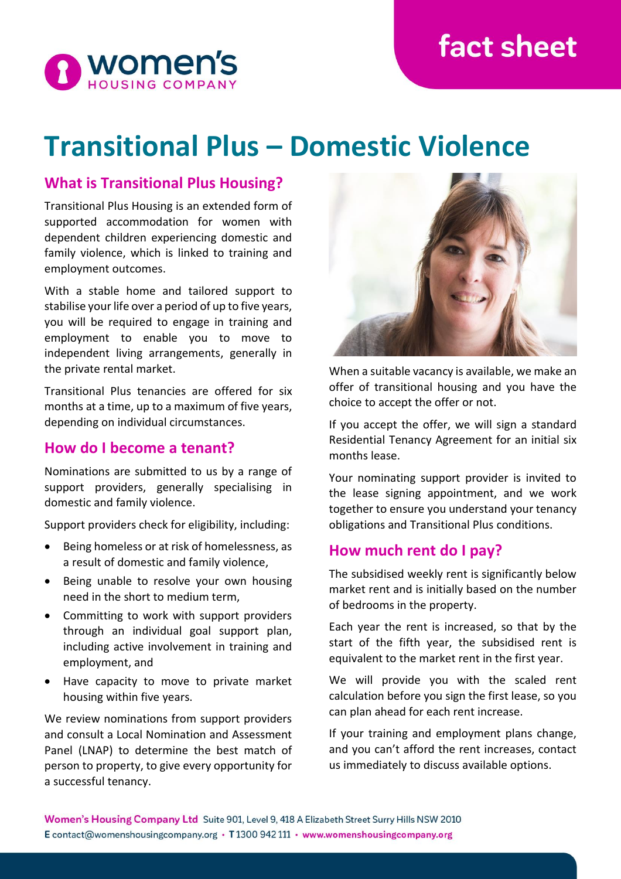# **fact sheet**



## **Transitional Plus – Domestic Violence**

### **What is Transitional Plus Housing?**

Transitional Plus Housing is an extended form of supported accommodation for women with dependent children experiencing domestic and family violence, which is linked to training and employment outcomes.

With a stable home and tailored support to stabilise your life over a period of up to five years, you will be required to engage in training and employment to enable you to move to independent living arrangements, generally in the private rental market.

Transitional Plus tenancies are offered for six months at a time, up to a maximum of five years, depending on individual circumstances.

#### **How do I become a tenant?**

Nominations are submitted to us by a range of support providers, generally specialising in domestic and family violence.

Support providers check for eligibility, including:

- Being homeless or at risk of homelessness, as a result of domestic and family violence,
- Being unable to resolve your own housing need in the short to medium term,
- Committing to work with support providers through an individual goal support plan, including active involvement in training and employment, and
- Have capacity to move to private market housing within five years.

We review nominations from support providers and consult a Local Nomination and Assessment Panel (LNAP) to determine the best match of person to property, to give every opportunity for a successful tenancy.



When a suitable vacancy is available, we make an offer of transitional housing and you have the choice to accept the offer or not.

If you accept the offer, we will sign a standard Residential Tenancy Agreement for an initial six months lease.

Your nominating support provider is invited to the lease signing appointment, and we work together to ensure you understand your tenancy obligations and Transitional Plus conditions.

### **How much rent do I pay?**

The subsidised weekly rent is significantly below market rent and is initially based on the number of bedrooms in the property.

Each year the rent is increased, so that by the start of the fifth year, the subsidised rent is equivalent to the market rent in the first year.

We will provide you with the scaled rent calculation before you sign the first lease, so you can plan ahead for each rent increase.

If your training and employment plans change, and you can't afford the rent increases, contact us immediately to discuss available options.